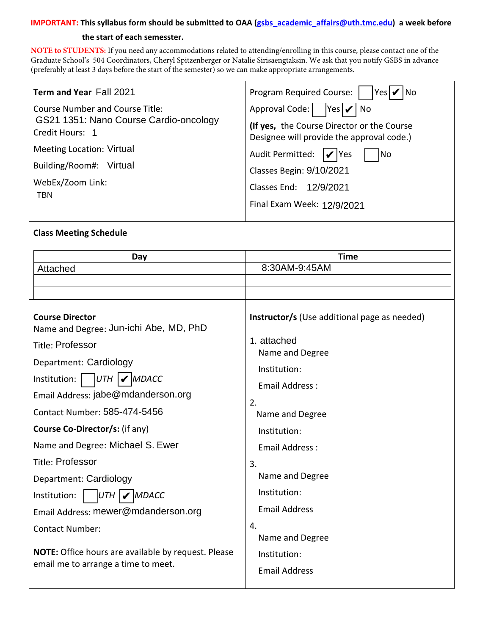### **IMPORTANT: This syllabus form should be submitted to OAA (gsbs\_academic\_affairs@uth.tmc.edu) a week before**

#### **the start of each semesster.**

**NOTE to STUDENTS:** If you need any accommodations related to attending/enrolling in this course, please contact one of the Graduate School's 504 Coordinators, [Cheryl Spitzenberger](mailto:Cheryl.A.Spitzenberger@uth.tmc.edu) or [Natalie Sirisaengtaksin](mailto:Natalie.Sirisaengtaksin@uth.tmc.edu). We ask that you notify GSBS in advance (preferably at least 3 days before the start of the semester) so we can make appropriate arrangements.

| Term and Year Fall 2021                                                                       | Program Required Course:<br> Yes                                                                                                        |  |
|-----------------------------------------------------------------------------------------------|-----------------------------------------------------------------------------------------------------------------------------------------|--|
| Course Number and Course Title:<br>GS21 1351: Nano Course Cardio-oncology<br>Credit Hours: 1  | Approval Code:  <br>$ Yes  \n\mathcal{V}$ No<br>(If yes, the Course Director or the Course<br>Designee will provide the approval code.) |  |
| <b>Meeting Location: Virtual</b><br>Building/Room#: Virtual<br>WebEx/Zoom Link:<br><b>TBN</b> | Audit Permitted:<br> No<br>$ V $ Yes<br>Classes Begin: 9/10/2021<br>Classes End: 12/9/2021<br>Final Exam Week: 12/9/2021                |  |

#### **Class Meeting Schedule**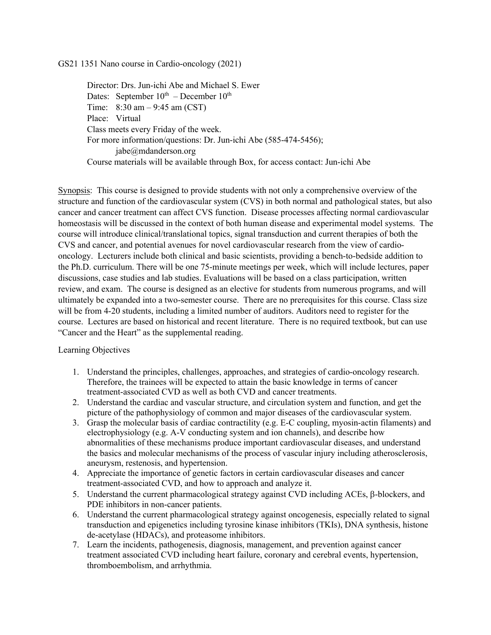GS21 1351 Nano course in Cardio-oncology (2021)

Director: Drs. Jun-ichi Abe and Michael S. Ewer Dates: September  $10^{th}$  – December  $10^{th}$ Time:  $8:30 \text{ am} - 9:45 \text{ am (CST)}$ Place: Virtual Class meets every Friday of the week. For more information/questions: Dr. Jun-ichi Abe (585-474-5456); jabe@mdanderson.org Course materials will be available through Box, for access contact: Jun-ichi Abe

Synopsis: This course is designed to provide students with not only a comprehensive overview of the structure and function of the cardiovascular system (CVS) in both normal and pathological states, but also cancer and cancer treatment can affect CVS function. Disease processes affecting normal cardiovascular homeostasis will be discussed in the context of both human disease and experimental model systems. The course will introduce clinical/translational topics, signal transduction and current therapies of both the CVS and cancer, and potential avenues for novel cardiovascular research from the view of cardiooncology. Lecturers include both clinical and basic scientists, providing a bench-to-bedside addition to the Ph.D. curriculum. There will be one 75-minute meetings per week, which will include lectures, paper discussions, case studies and lab studies. Evaluations will be based on a class participation, written review, and exam. The course is designed as an elective for students from numerous programs, and will ultimately be expanded into a two-semester course. There are no prerequisites for this course. Class size will be from 4-20 students, including a limited number of auditors. Auditors need to register for the course. Lectures are based on historical and recent literature. There is no required textbook, but can use "Cancer and the Heart" as the supplemental reading.

#### Learning Objectives

- 1. Understand the principles, challenges, approaches, and strategies of cardio-oncology research. Therefore, the trainees will be expected to attain the basic knowledge in terms of cancer treatment-associated CVD as well as both CVD and cancer treatments.
- 2. Understand the cardiac and vascular structure, and circulation system and function, and get the picture of the pathophysiology of common and major diseases of the cardiovascular system.
- 3. Grasp the molecular basis of cardiac contractility (e.g. E-C coupling, myosin-actin filaments) and electrophysiology (e.g. A-V conducting system and ion channels), and describe how abnormalities of these mechanisms produce important cardiovascular diseases, and understand the basics and molecular mechanisms of the process of vascular injury including atherosclerosis, aneurysm, restenosis, and hypertension.
- 4. Appreciate the importance of genetic factors in certain cardiovascular diseases and cancer treatment-associated CVD, and how to approach and analyze it.
- 5. Understand the current pharmacological strategy against CVD including ACEs,  $\beta$ -blockers, and PDE inhibitors in non-cancer patients.
- 6. Understand the current pharmacological strategy against oncogenesis, especially related to signal transduction and epigenetics including tyrosine kinase inhibitors (TKIs), DNA synthesis, histone de-acetylase (HDACs), and proteasome inhibitors.
- 7. Learn the incidents, pathogenesis, diagnosis, management, and prevention against cancer treatment associated CVD including heart failure, coronary and cerebral events, hypertension, thromboembolism, and arrhythmia.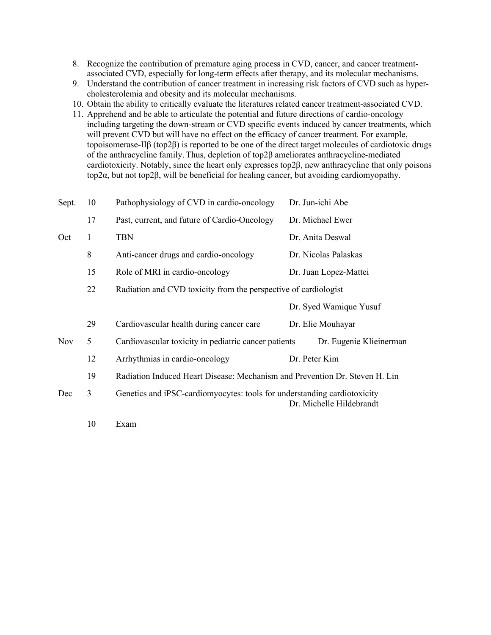- 8. Recognize the contribution of premature aging process in CVD, cancer, and cancer treatmentassociated CVD, especially for long-term effects after therapy, and its molecular mechanisms.
- 9. Understand the contribution of cancer treatment in increasing risk factors of CVD such as hypercholesterolemia and obesity and its molecular mechanisms.
- 10. Obtain the ability to critically evaluate the literatures related cancer treatment-associated CVD.
- 11. Apprehend and be able to articulate the potential and future directions of cardio-oncology including targeting the down-stream or CVD specific events induced by cancer treatments, which will prevent CVD but will have no effect on the efficacy of cancer treatment. For example, topoisomerase-IIβ (top2β) is reported to be one of the direct target molecules of cardiotoxic drugs of the anthracycline family. Thus, depletion of top2β ameliorates anthracycline-mediated cardiotoxicity. Notably, since the heart only expresses top2β, new anthracycline that only poisons top2α, but not top2β, will be beneficial for healing cancer, but avoiding cardiomyopathy.

| Sept.      | 10 | Pathophysiology of CVD in cardio-oncology                                                            | Dr. Jun-ichi Abe        |  |  |
|------------|----|------------------------------------------------------------------------------------------------------|-------------------------|--|--|
|            | 17 | Past, current, and future of Cardio-Oncology                                                         | Dr. Michael Ewer        |  |  |
| Oct        | 1  | <b>TBN</b>                                                                                           | Dr. Anita Deswal        |  |  |
|            | 8  | Anti-cancer drugs and cardio-oncology                                                                | Dr. Nicolas Palaskas    |  |  |
|            | 15 | Role of MRI in cardio-oncology                                                                       | Dr. Juan Lopez-Mattei   |  |  |
|            | 22 | Radiation and CVD toxicity from the perspective of cardiologist                                      |                         |  |  |
|            |    |                                                                                                      | Dr. Syed Wamique Yusuf  |  |  |
|            | 29 | Cardiovascular health during cancer care                                                             | Dr. Elie Mouhayar       |  |  |
| <b>Nov</b> | 5  | Cardiovascular toxicity in pediatric cancer patients                                                 | Dr. Eugenie Klieinerman |  |  |
|            | 12 | Arrhythmias in cardio-oncology                                                                       | Dr. Peter Kim           |  |  |
|            | 19 | Radiation Induced Heart Disease: Mechanism and Prevention Dr. Steven H. Lin                          |                         |  |  |
| Dec        | 3  | Genetics and iPSC-cardiomyocytes: tools for understanding cardiotoxicity<br>Dr. Michelle Hildebrandt |                         |  |  |
|            | 10 | Exam                                                                                                 |                         |  |  |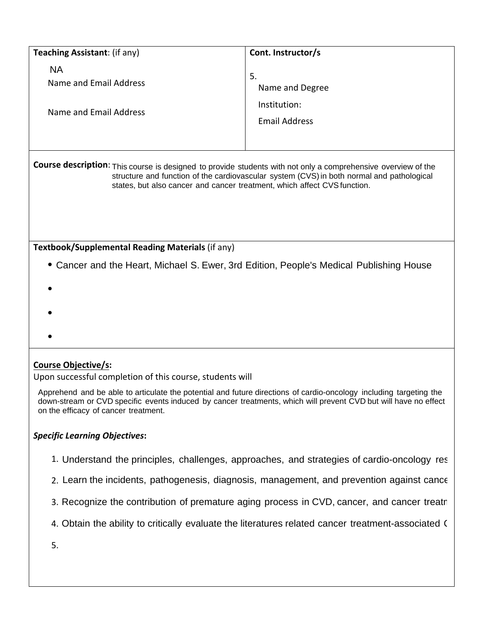| Teaching Assistant: (if any)                                                                                                                                                                                                                                                           | Cont. Instructor/s                                            |  |  |  |
|----------------------------------------------------------------------------------------------------------------------------------------------------------------------------------------------------------------------------------------------------------------------------------------|---------------------------------------------------------------|--|--|--|
| <b>NA</b><br>Name and Email Address<br>Name and Email Address                                                                                                                                                                                                                          | 5.<br>Name and Degree<br>Institution:<br><b>Email Address</b> |  |  |  |
| Course description: This course is designed to provide students with not only a comprehensive overview of the<br>structure and function of the cardiovascular system (CVS) in both normal and pathological<br>states, but also cancer and cancer treatment, which affect CVS function. |                                                               |  |  |  |
| Textbook/Supplemental Reading Materials (if any)                                                                                                                                                                                                                                       |                                                               |  |  |  |
| • Cancer and the Heart, Michael S. Ewer, 3rd Edition, People's Medical Publishing House                                                                                                                                                                                                |                                                               |  |  |  |

## **Course Objective/s:**

Upon successful completion of this course, students will

Apprehend and be able to articulate the potential and future directions of cardio-oncology including targeting the down-stream or CVD specific events induced by cancer treatments, which will prevent CVD but will have no effect on the efficacy of cancer treatment.

### *Specific Learning Objectives***:**

- 1. Understand the principles, challenges, approaches, and strategies of cardio-oncology res |
- 2. Learn the incidents, pathogenesis, diagnosis, management, and prevention against canc $\epsilon$  |
- 3. Recognize the contribution of premature aging process in CVD, cancer, and cancer treatr |
- 4. Obtain the ability to critically evaluate the literatures related cancer treatment-associated ( |
- 5.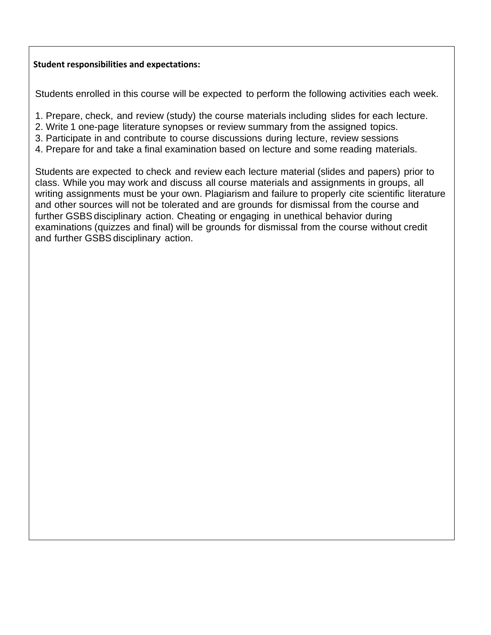### **Student responsibilities and expectations:**

Students enrolled in this course will be expected to perform the following activities each week.

- 1. Prepare, check, and review (study) the course materials including slides for each lecture.
- 2. Write 1 one-page literature synopses or review summary from the assigned topics.
- 3. Participate in and contribute to course discussions during lecture, review sessions
- 4. Prepare for and take a final examination based on lecture and some reading materials.

Students are expected to check and review each lecture material (slides and papers) prior to class. While you may work and discuss all course materials and assignments in groups, all writing assignments must be your own. Plagiarism and failure to properly cite scientific literature and other sources will not be tolerated and are grounds for dismissal from the course and further GSBS disciplinary action. Cheating or engaging in unethical behavior during examinations (quizzes and final) will be grounds for dismissal from the course without credit and further GSBS disciplinary action.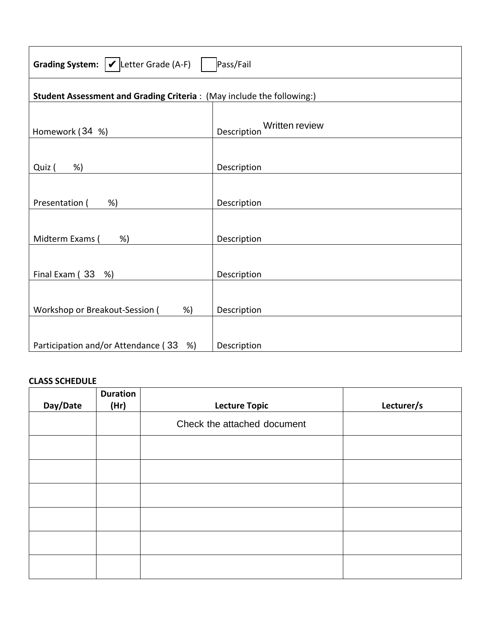| Grading System: $\mathcal{V}$ Letter Grade (A-F)<br>Pass/Fail |    |                               |                                                                       |            |
|---------------------------------------------------------------|----|-------------------------------|-----------------------------------------------------------------------|------------|
|                                                               |    |                               | Student Assessment and Grading Criteria: (May include the following:) |            |
| Homework (34 %)                                               |    | Written review<br>Description |                                                                       |            |
| %)<br>Quiz (                                                  |    | Description                   |                                                                       |            |
| Presentation (<br>%)                                          |    |                               | Description                                                           |            |
| Midterm Exams (                                               | %) |                               | Description                                                           |            |
| Final Exam (33 %)                                             |    |                               | Description                                                           |            |
| Workshop or Breakout-Session (<br>%                           |    | Description                   |                                                                       |            |
| Participation and/or Attendance (33 %)                        |    | Description                   |                                                                       |            |
| <b>CLASS SCHEDULE</b>                                         |    |                               |                                                                       |            |
| <b>Duration</b><br>Day/Date<br>(Hr)                           |    |                               | <b>Lecture Topic</b>                                                  | Lecturer/s |
|                                                               |    |                               | Check the attached document                                           |            |

# **CLASS SCHEDULE**

|          | <b>Duration</b> |                             |            |
|----------|-----------------|-----------------------------|------------|
| Day/Date | (Hr)            | <b>Lecture Topic</b>        | Lecturer/s |
|          |                 | Check the attached document |            |
|          |                 |                             |            |
|          |                 |                             |            |
|          |                 |                             |            |
|          |                 |                             |            |
|          |                 |                             |            |
|          |                 |                             |            |